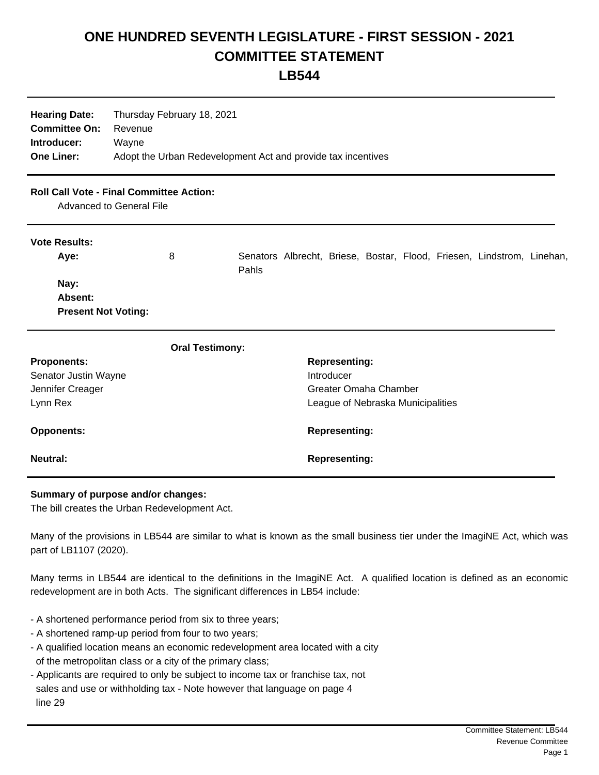## **ONE HUNDRED SEVENTH LEGISLATURE - FIRST SESSION - 2021 COMMITTEE STATEMENT**

**LB544**

| <b>Hearing Date:</b><br><b>Committee On:</b><br>Introducer:<br><b>One Liner:</b>   | Thursday February 18, 2021<br>Revenue<br>Wayne<br>Adopt the Urban Redevelopment Act and provide tax incentives |                                                                                 |  |
|------------------------------------------------------------------------------------|----------------------------------------------------------------------------------------------------------------|---------------------------------------------------------------------------------|--|
| <b>Roll Call Vote - Final Committee Action:</b><br><b>Advanced to General File</b> |                                                                                                                |                                                                                 |  |
| <b>Vote Results:</b><br>Aye:                                                       | 8                                                                                                              | Senators Albrecht, Briese, Bostar, Flood, Friesen, Lindstrom, Linehan,<br>Pahls |  |
| Nay:<br>Absent:<br><b>Present Not Voting:</b>                                      |                                                                                                                |                                                                                 |  |
|                                                                                    | <b>Oral Testimony:</b>                                                                                         |                                                                                 |  |
| <b>Proponents:</b>                                                                 |                                                                                                                | <b>Representing:</b>                                                            |  |
| Senator Justin Wayne                                                               |                                                                                                                | Introducer                                                                      |  |
| Jennifer Creager                                                                   |                                                                                                                | <b>Greater Omaha Chamber</b>                                                    |  |
| Lynn Rex                                                                           |                                                                                                                | League of Nebraska Municipalities                                               |  |
| <b>Opponents:</b>                                                                  |                                                                                                                | <b>Representing:</b>                                                            |  |
| <b>Neutral:</b>                                                                    |                                                                                                                | <b>Representing:</b>                                                            |  |

## **Summary of purpose and/or changes:**

The bill creates the Urban Redevelopment Act.

Many of the provisions in LB544 are similar to what is known as the small business tier under the ImagiNE Act, which was part of LB1107 (2020).

Many terms in LB544 are identical to the definitions in the ImagiNE Act. A qualified location is defined as an economic redevelopment are in both Acts. The significant differences in LB54 include:

- A shortened performance period from six to three years;
- A shortened ramp-up period from four to two years;
- A qualified location means an economic redevelopment area located with a city of the metropolitan class or a city of the primary class;
- Applicants are required to only be subject to income tax or franchise tax, not sales and use or withholding tax - Note however that language on page 4 line 29